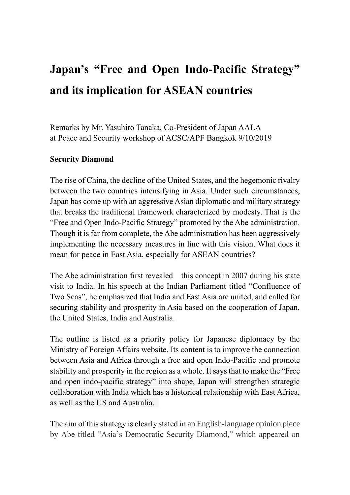# **Japan's "Free and Open Indo-Pacific Strategy" and its implication for ASEAN countries**

Remarks by Mr. Yasuhiro Tanaka, Co-President of Japan AALA at Peace and Security workshop of ACSC/APF Bangkok 9/10/2019

#### **Security Diamond**

The rise of China, the decline of the United States, and the hegemonic rivalry between the two countries intensifying in Asia. Under such circumstances, Japan has come up with an aggressive Asian diplomatic and military strategy that breaks the traditional framework characterized by modesty. That is the "Free and Open Indo-Pacific Strategy" promoted by the Abe administration. Though it is far from complete, the Abe administration has been aggressively implementing the necessary measures in line with this vision. What does it mean for peace in East Asia, especially for ASEAN countries?

The Abe administration first revealed this concept in 2007 during his state visit to India. In his speech at the Indian Parliament titled "Confluence of Two Seas", he emphasized that India and East Asia are united, and called for securing stability and prosperity in Asia based on the cooperation of Japan, the United States, India and Australia.

The outline is listed as a priority policy for Japanese diplomacy by the Ministry of Foreign Affairs website. Its content is to improve the connection between Asia and Africa through a free and open Indo-Pacific and promote stability and prosperity in the region as a whole. It says that to make the "Free and open indo-pacific strategy" into shape, Japan will strengthen strategic collaboration with India which has a historical relationship with East Africa, as well as the US and Australia.

The aim of this strategy is clearly stated in an English-language opinion piece by Abe titled "Asia's Democratic Security Diamond," which appeared on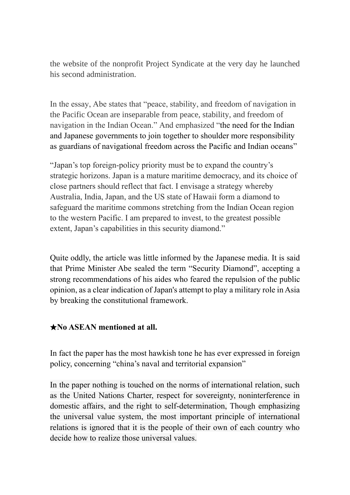the website of the nonprofit Project Syndicate at the very day he launched his second administration.

In the essay, Abe states that "peace, stability, and freedom of navigation in the Pacific Ocean are inseparable from peace, stability, and freedom of navigation in the Indian Ocean." And emphasized "the need for the Indian and Japanese governments to join together to shoulder more responsibility as guardians of navigational freedom across the Pacific and Indian oceans"

"Japan's top foreign-policy priority must be to expand the country's strategic horizons. Japan is a mature maritime democracy, and its choice of close partners should reflect that fact. I envisage a strategy whereby Australia, India, Japan, and the US state of Hawaii form a diamond to safeguard the maritime commons stretching from the Indian Ocean region to the western Pacific. I am prepared to invest, to the greatest possible extent, Japan's capabilities in this security diamond."

Quite oddly, the article was little informed by the Japanese media. It is said that Prime Minister Abe sealed the term "Security Diamond", accepting a strong recommendations of his aides who feared the repulsion of the public opinion, as a clear indication of Japan's attempt to play a military role in Asia by breaking the constitutional framework.

# ★**No ASEAN mentioned at all.**

In fact the paper has the most hawkish tone he has ever expressed in foreign policy, concerning "china's naval and territorial expansion"

In the paper nothing is touched on the norms of international relation, such as the United Nations Charter, respect for sovereignty, noninterference in domestic affairs, and the right to self-determination, Though emphasizing the universal value system, the most important principle of international relations is ignored that it is the people of their own of each country who decide how to realize those universal values.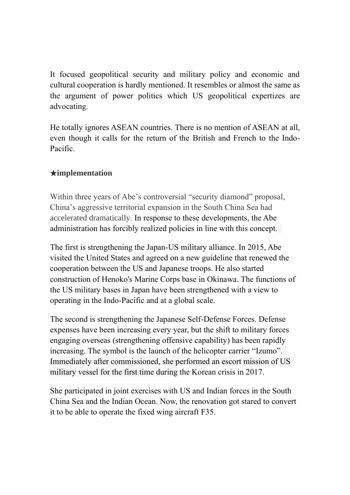It focused geopolitical security and military policy and economic and cultural cooperation is hardly mentioned. It resembles or almost the same as the argument of power politics which US geopolitical expertizes are advocating.

He totally ignores ASEAN countries. There is no mention of ASEAN at all, even though it calls for the return of the British and French to the Indo-Pacific.

# ★**implementation**

Within three years of Abe's controversial "security diamond" proposal, China's aggressive territorial expansion in the South China Sea had accelerated dramatically. In response to these developments, the Abe administration has forcibly realized policies in line with this concept.

The first is strengthening the Japan-US military alliance. In 2015, Abe visited the United States and agreed on a new guideline that renewed the cooperation between the US and Japanese troops. He also started construction of Henoko's Marine Corps base in Okinawa. The functions of the US military bases in Japan have been strengthened with a view to operating in the Indo-Pacific and at a global scale.

The second is strengthening the Japanese Self-Defense Forces. Defense expenses have been increasing every year, but the shift to military forces engaging overseas (strengthening offensive capability) has been rapidly increasing. The symbol is the launch of the helicopter carrier "Izumo". Immediately after commissioned, she performed an escort mission of US military vessel for the first time during the Korean crisis in 2017.

She participated in joint exercises with US and Indian forces in the South China Sea and the Indian Ocean. Now, the renovation got stared to convert it to be able to operate the fixed wing aircraft F35.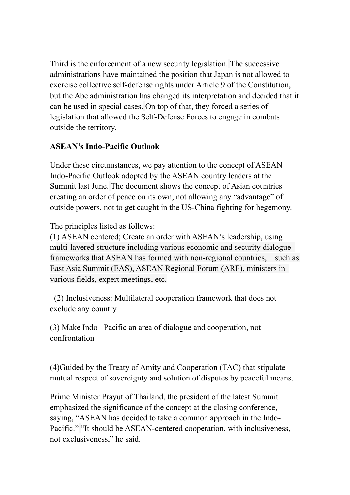Third is the enforcement of a new security legislation. The successive administrations have maintained the position that Japan is not allowed to exercise collective self-defense rights under Article 9 of the Constitution, but the Abe administration has changed its interpretation and decided that it can be used in special cases. On top of that, they forced a series of legislation that allowed the Self-Defense Forces to engage in combats outside the territory.

# **ASEAN's Indo-Pacific Outlook**

Under these circumstances, we pay attention to the concept of ASEAN Indo-Pacific Outlook adopted by the ASEAN country leaders at the Summit last June. The document shows the concept of Asian countries creating an order of peace on its own, not allowing any "advantage" of outside powers, not to get caught in the US-China fighting for hegemony.

The principles listed as follows:

(1) ASEAN centered; Create an order with ASEAN's leadership, using multi-layered structure including various economic and security dialogue frameworks that ASEAN has formed with non-regional countries, such as East Asia Summit (EAS), ASEAN Regional Forum (ARF), ministers in various fields, expert meetings, etc.

(2) Inclusiveness: Multilateral cooperation framework that does not exclude any country

(3) Make Indo –Pacific an area of dialogue and cooperation, not confrontation

(4)Guided by the Treaty of Amity and Cooperation (TAC) that stipulate mutual respect of sovereignty and solution of disputes by peaceful means.

Prime Minister Prayut of Thailand, the president of the latest Summit emphasized the significance of the concept at the closing conference, saying, "ASEAN has decided to take a common approach in the Indo-Pacific." "It should be ASEAN-centered cooperation, with inclusiveness, not exclusiveness," he said.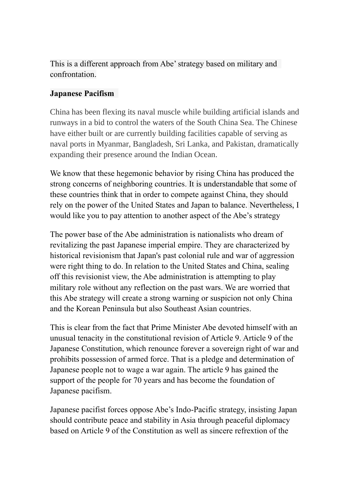This is a different approach from Abe'strategy based on military and confrontation.

# **Japanese Pacifism**

China has been flexing its naval muscle while building artificial islands and runways in a bid to control the waters of the South China Sea. The Chinese have either built or are currently building facilities capable of serving as naval ports in Myanmar, Bangladesh, Sri Lanka, and Pakistan, dramatically expanding their presence around the Indian Ocean.

We know that these hegemonic behavior by rising China has produced the strong concerns of neighboring countries. It is understandable that some of these countries think that in order to compete against China, they should rely on the power of the United States and Japan to balance. Nevertheless, I would like you to pay attention to another aspect of the Abe's strategy

The power base of the Abe administration is nationalists who dream of revitalizing the past Japanese imperial empire. They are characterized by historical revisionism that Japan's past colonial rule and war of aggression were right thing to do. In relation to the United States and China, sealing off this revisionist view, the Abe administration is attempting to play military role without any reflection on the past wars. We are worried that this Abe strategy will create a strong warning or suspicion not only China and the Korean Peninsula but also Southeast Asian countries.

This is clear from the fact that Prime Minister Abe devoted himself with an unusual tenacity in the constitutional revision of Article 9. Article 9 of the Japanese Constitution, which renounce forever a sovereign right of war and prohibits possession of armed force. That is a pledge and determination of Japanese people not to wage a war again. The article 9 has gained the support of the people for 70 years and has become the foundation of Japanese pacifism.

Japanese pacifist forces oppose Abe's Indo-Pacific strategy, insisting Japan should contribute peace and stability in Asia through peaceful diplomacy based on Article 9 of the Constitution as well as sincere refrextion of the